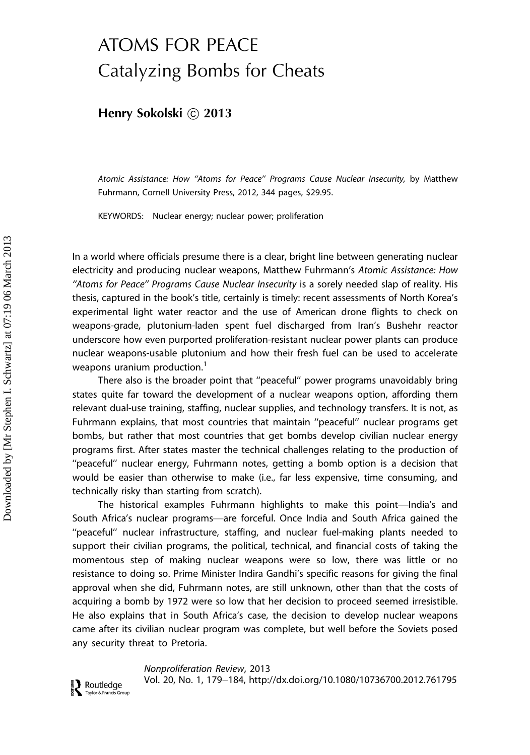## ATOMS FOR PEACE Catalyzing Bombs for Cheats

## Henry Sokolski (C) 2013

Atomic Assistance: How ''Atoms for Peace'' Programs Cause Nuclear Insecurity, by Matthew Fuhrmann, Cornell University Press, 2012, 344 pages, \$29.95.

KEYWORDS: Nuclear energy; nuclear power; proliferation

In a world where officials presume there is a clear, bright line between generating nuclear electricity and producing nuclear weapons, Matthew Fuhrmann's Atomic Assistance: How ''Atoms for Peace'' Programs Cause Nuclear Insecurity is a sorely needed slap of reality. His thesis, captured in the book's title, certainly is timely: recent assessments of North Korea's experimental light water reactor and the use of American drone flights to check on weapons-grade, plutonium-laden spent fuel discharged from Iran's Bushehr reactor underscore how even purported proliferation-resistant nuclear power plants can produce nuclear weapons-usable plutonium and how their fresh fuel can be used to accelerate weapons uranium production.<sup>1</sup>

There also is the broader point that ''peaceful'' power programs unavoidably bring states quite far toward the development of a nuclear weapons option, affording them relevant dual-use training, staffing, nuclear supplies, and technology transfers. It is not, as Fuhrmann explains, that most countries that maintain ''peaceful'' nuclear programs get bombs, but rather that most countries that get bombs develop civilian nuclear energy programs first. After states master the technical challenges relating to the production of ''peaceful'' nuclear energy, Fuhrmann notes, getting a bomb option is a decision that would be easier than otherwise to make (i.e., far less expensive, time consuming, and technically risky than starting from scratch).

The historical examples Fuhrmann highlights to make this point-India's and South Africa's nuclear programs—are forceful. Once India and South Africa gained the ''peaceful'' nuclear infrastructure, staffing, and nuclear fuel-making plants needed to support their civilian programs, the political, technical, and financial costs of taking the momentous step of making nuclear weapons were so low, there was little or no resistance to doing so. Prime Minister Indira Gandhi's specific reasons for giving the final approval when she did, Fuhrmann notes, are still unknown, other than that the costs of acquiring a bomb by 1972 were so low that her decision to proceed seemed irresistible. He also explains that in South Africa's case, the decision to develop nuclear weapons came after its civilian nuclear program was complete, but well before the Soviets posed any security threat to Pretoria.

Nonproliferation Review, 2013

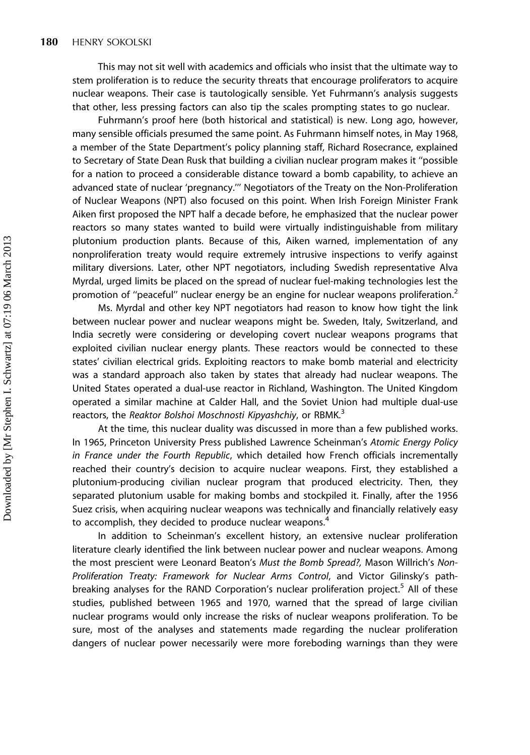This may not sit well with academics and officials who insist that the ultimate way to stem proliferation is to reduce the security threats that encourage proliferators to acquire nuclear weapons. Their case is tautologically sensible. Yet Fuhrmann's analysis suggests that other, less pressing factors can also tip the scales prompting states to go nuclear.

Fuhrmann's proof here (both historical and statistical) is new. Long ago, however, many sensible officials presumed the same point. As Fuhrmann himself notes, in May 1968, a member of the State Department's policy planning staff, Richard Rosecrance, explained to Secretary of State Dean Rusk that building a civilian nuclear program makes it ''possible for a nation to proceed a considerable distance toward a bomb capability, to achieve an advanced state of nuclear 'pregnancy.''' Negotiators of the Treaty on the Non-Proliferation of Nuclear Weapons (NPT) also focused on this point. When Irish Foreign Minister Frank Aiken first proposed the NPT half a decade before, he emphasized that the nuclear power reactors so many states wanted to build were virtually indistinguishable from military plutonium production plants. Because of this, Aiken warned, implementation of any nonproliferation treaty would require extremely intrusive inspections to verify against military diversions. Later, other NPT negotiators, including Swedish representative Alva Myrdal, urged limits be placed on the spread of nuclear fuel-making technologies lest the promotion of "peaceful" nuclear energy be an engine for nuclear weapons proliferation.<sup>2</sup>

Ms. Myrdal and other key NPT negotiators had reason to know how tight the link between nuclear power and nuclear weapons might be. Sweden, Italy, Switzerland, and India secretly were considering or developing covert nuclear weapons programs that exploited civilian nuclear energy plants. These reactors would be connected to these states' civilian electrical grids. Exploiting reactors to make bomb material and electricity was a standard approach also taken by states that already had nuclear weapons. The United States operated a dual-use reactor in Richland, Washington. The United Kingdom operated a similar machine at Calder Hall, and the Soviet Union had multiple dual-use reactors, the Reaktor Bolshoi Moschnosti Kipyashchiy, or RBMK.<sup>3</sup>

At the time, this nuclear duality was discussed in more than a few published works. In 1965, Princeton University Press published Lawrence Scheinman's Atomic Energy Policy in France under the Fourth Republic, which detailed how French officials incrementally reached their country's decision to acquire nuclear weapons. First, they established a plutonium-producing civilian nuclear program that produced electricity. Then, they separated plutonium usable for making bombs and stockpiled it. Finally, after the 1956 Suez crisis, when acquiring nuclear weapons was technically and financially relatively easy to accomplish, they decided to produce nuclear weapons.<sup>4</sup>

In addition to Scheinman's excellent history, an extensive nuclear proliferation literature clearly identified the link between nuclear power and nuclear weapons. Among the most prescient were Leonard Beaton's Must the Bomb Spread?, Mason Willrich's Non-Proliferation Treaty: Framework for Nuclear Arms Control, and Victor Gilinsky's pathbreaking analyses for the RAND Corporation's nuclear proliferation project.<sup>5</sup> All of these studies, published between 1965 and 1970, warned that the spread of large civilian nuclear programs would only increase the risks of nuclear weapons proliferation. To be sure, most of the analyses and statements made regarding the nuclear proliferation dangers of nuclear power necessarily were more foreboding warnings than they were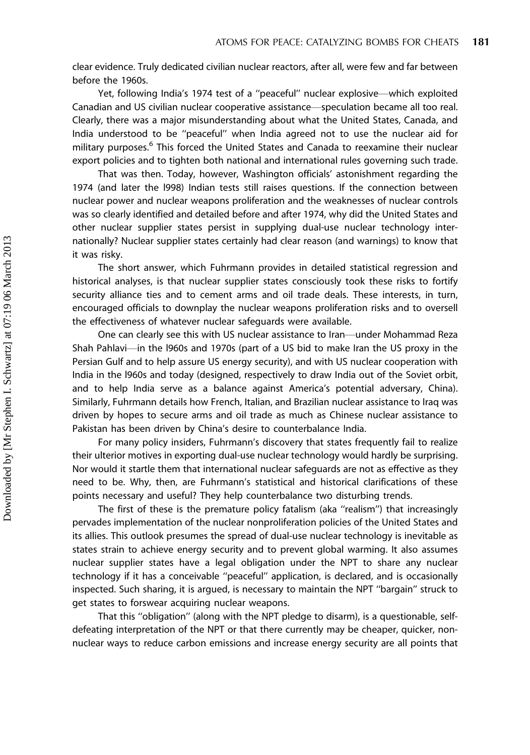clear evidence. Truly dedicated civilian nuclear reactors, after all, were few and far between before the 1960s.

Yet, following India's 1974 test of a "peaceful" nuclear explosive—which exploited Canadian and US civilian nuclear cooperative assistance—speculation became all too real. Clearly, there was a major misunderstanding about what the United States, Canada, and India understood to be ''peaceful'' when India agreed not to use the nuclear aid for military purposes.<sup>6</sup> This forced the United States and Canada to reexamine their nuclear export policies and to tighten both national and international rules governing such trade.

That was then. Today, however, Washington officials' astonishment regarding the 1974 (and later the l998) Indian tests still raises questions. If the connection between nuclear power and nuclear weapons proliferation and the weaknesses of nuclear controls was so clearly identified and detailed before and after 1974, why did the United States and other nuclear supplier states persist in supplying dual-use nuclear technology internationally? Nuclear supplier states certainly had clear reason (and warnings) to know that it was risky.

The short answer, which Fuhrmann provides in detailed statistical regression and historical analyses, is that nuclear supplier states consciously took these risks to fortify security alliance ties and to cement arms and oil trade deals. These interests, in turn, encouraged officials to downplay the nuclear weapons proliferation risks and to oversell the effectiveness of whatever nuclear safeguards were available.

One can clearly see this with US nuclear assistance to Iran—under Mohammad Reza Shah Pahlavi-in the l960s and 1970s (part of a US bid to make Iran the US proxy in the Persian Gulf and to help assure US energy security), and with US nuclear cooperation with India in the l960s and today (designed, respectively to draw India out of the Soviet orbit, and to help India serve as a balance against America's potential adversary, China). Similarly, Fuhrmann details how French, Italian, and Brazilian nuclear assistance to Iraq was driven by hopes to secure arms and oil trade as much as Chinese nuclear assistance to Pakistan has been driven by China's desire to counterbalance India.

For many policy insiders, Fuhrmann's discovery that states frequently fail to realize their ulterior motives in exporting dual-use nuclear technology would hardly be surprising. Nor would it startle them that international nuclear safeguards are not as effective as they need to be. Why, then, are Fuhrmann's statistical and historical clarifications of these points necessary and useful? They help counterbalance two disturbing trends.

The first of these is the premature policy fatalism (aka ''realism'') that increasingly pervades implementation of the nuclear nonproliferation policies of the United States and its allies. This outlook presumes the spread of dual-use nuclear technology is inevitable as states strain to achieve energy security and to prevent global warming. It also assumes nuclear supplier states have a legal obligation under the NPT to share any nuclear technology if it has a conceivable ''peaceful'' application, is declared, and is occasionally inspected. Such sharing, it is argued, is necessary to maintain the NPT ''bargain'' struck to get states to forswear acquiring nuclear weapons.

That this ''obligation'' (along with the NPT pledge to disarm), is a questionable, selfdefeating interpretation of the NPT or that there currently may be cheaper, quicker, nonnuclear ways to reduce carbon emissions and increase energy security are all points that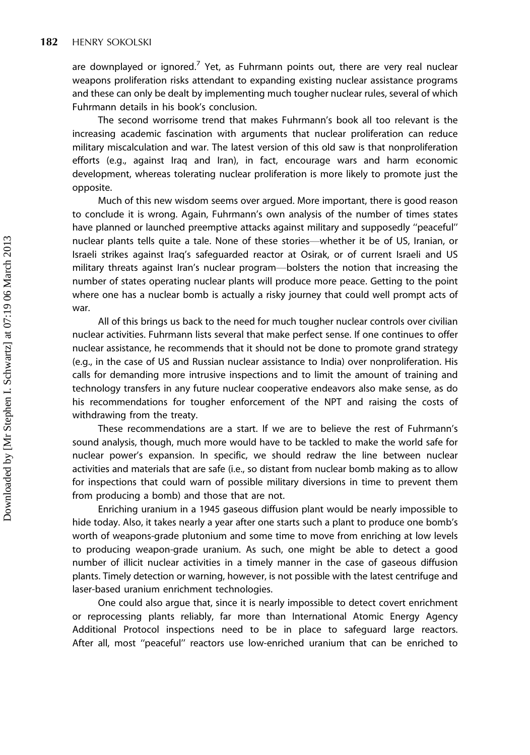are downplayed or ignored.<sup>7</sup> Yet, as Fuhrmann points out, there are very real nuclear weapons proliferation risks attendant to expanding existing nuclear assistance programs and these can only be dealt by implementing much tougher nuclear rules, several of which Fuhrmann details in his book's conclusion.

The second worrisome trend that makes Fuhrmann's book all too relevant is the increasing academic fascination with arguments that nuclear proliferation can reduce military miscalculation and war. The latest version of this old saw is that nonproliferation efforts (e.g., against Iraq and Iran), in fact, encourage wars and harm economic development, whereas tolerating nuclear proliferation is more likely to promote just the opposite.

Much of this new wisdom seems over argued. More important, there is good reason to conclude it is wrong. Again, Fuhrmann's own analysis of the number of times states have planned or launched preemptive attacks against military and supposedly ''peaceful'' nuclear plants tells quite a tale. None of these stories—whether it be of US, Iranian, or Israeli strikes against Iraq's safeguarded reactor at Osirak, or of current Israeli and US military threats against Iran's nuclear program—bolsters the notion that increasing the number of states operating nuclear plants will produce more peace. Getting to the point where one has a nuclear bomb is actually a risky journey that could well prompt acts of war.

All of this brings us back to the need for much tougher nuclear controls over civilian nuclear activities. Fuhrmann lists several that make perfect sense. If one continues to offer nuclear assistance, he recommends that it should not be done to promote grand strategy (e.g., in the case of US and Russian nuclear assistance to India) over nonproliferation. His calls for demanding more intrusive inspections and to limit the amount of training and technology transfers in any future nuclear cooperative endeavors also make sense, as do his recommendations for tougher enforcement of the NPT and raising the costs of withdrawing from the treaty.

These recommendations are a start. If we are to believe the rest of Fuhrmann's sound analysis, though, much more would have to be tackled to make the world safe for nuclear power's expansion. In specific, we should redraw the line between nuclear activities and materials that are safe (i.e., so distant from nuclear bomb making as to allow for inspections that could warn of possible military diversions in time to prevent them from producing a bomb) and those that are not.

Enriching uranium in a 1945 gaseous diffusion plant would be nearly impossible to hide today. Also, it takes nearly a year after one starts such a plant to produce one bomb's worth of weapons-grade plutonium and some time to move from enriching at low levels to producing weapon-grade uranium. As such, one might be able to detect a good number of illicit nuclear activities in a timely manner in the case of gaseous diffusion plants. Timely detection or warning, however, is not possible with the latest centrifuge and laser-based uranium enrichment technologies.

One could also argue that, since it is nearly impossible to detect covert enrichment or reprocessing plants reliably, far more than International Atomic Energy Agency Additional Protocol inspections need to be in place to safeguard large reactors. After all, most ''peaceful'' reactors use low-enriched uranium that can be enriched to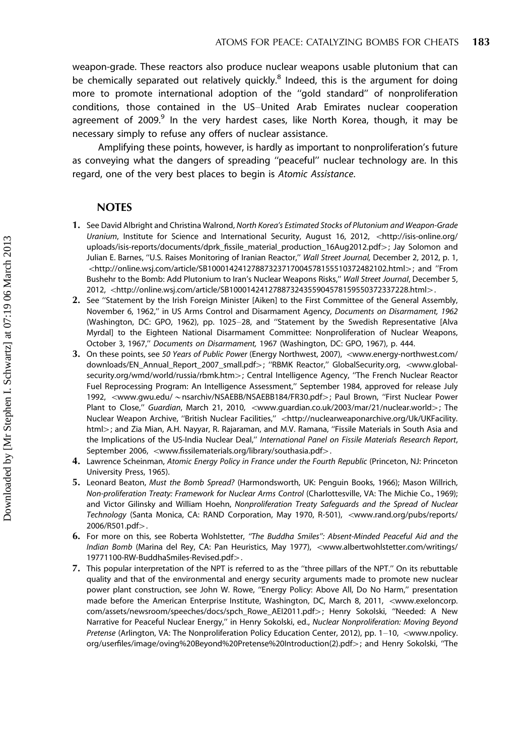weapon-grade. These reactors also produce nuclear weapons usable plutonium that can be chemically separated out relatively quickly. $8$  Indeed, this is the argument for doing more to promote international adoption of the ''gold standard'' of nonproliferation conditions, those contained in the US-United Arab Emirates nuclear cooperation agreement of 2009. $9$  In the very hardest cases, like North Korea, though, it may be necessary simply to refuse any offers of nuclear assistance.

Amplifying these points, however, is hardly as important to nonproliferation's future as conveying what the dangers of spreading ''peaceful'' nuclear technology are. In this regard, one of the very best places to begin is Atomic Assistance.

## **NOTES**

- 1. See David Albright and Christina Walrond, North Korea's Estimated Stocks of Plutonium and Weapon-Grade Uranium, Institute for Science and International Security, August 16, 2012, <[http://isis-online.org/](http://isis-online.org/uploads/isis-reports/documents/dprk_fissile_material_production_16Aug2012.pdf) [uploads/isis-reports/documents/dprk\\_fissile\\_material\\_production\\_16Aug2012.pdf](http://isis-online.org/uploads/isis-reports/documents/dprk_fissile_material_production_16Aug2012.pdf)-; Jay Solomon and Julian E. Barnes, "U.S. Raises Monitoring of Iranian Reactor," Wall Street Journal, December 2, 2012, p. 1, <<http://online.wsj.com/article/SB10001424127887323717004578155510372482102.html>>; and "From Bushehr to the Bomb: Add Plutonium to Iran's Nuclear Weapons Risks," Wall Street Journal, December 5, 2012, B<http://online.wsj.com/article/SB10001424127887324355904578159550372337228.html>-.
- 2. See ''Statement by the Irish Foreign Minister [Aiken] to the First Committee of the General Assembly, November 6, 1962,'' in US Arms Control and Disarmament Agency, Documents on Disarmament, 1962 (Washington, DC: GPO, 1962), pp. 1025-28, and ''Statement by the Swedish Representative [Alva Myrdal] to the Eighteen National Disarmament Committee: Nonproliferation of Nuclear Weapons, October 3, 1967,'' Documents on Disarmament, 1967 (Washington, DC: GPO, 1967), p. 444.
- 3. On these points, see 50 Years of Public Power (Energy Northwest, 2007), <[www.energy-northwest.com/](http://www.energy-northwest.com/downloads/EN_Annual_Report_2007_small.pdf) [downloads/EN\\_Annual\\_Report\\_2007\\_small.pdf](http://www.energy-northwest.com/downloads/EN_Annual_Report_2007_small.pdf)>; "RBMK Reactor," GlobalSecurity.org, <[www.global](http://www.globalsecurity.org/wmd/world/russia/rbmk.htm)[security.org/wmd/world/russia/rbmk.htm](http://www.globalsecurity.org/wmd/world/russia/rbmk.htm) $>$ ; Central Intelligence Agency, "The French Nuclear Reactor Fuel Reprocessing Program: An Intelligence Assessment,'' September 1984, approved for release July 1992, <[www.gwu.edu/](http://www.gwu.edu/~nsarchiv/NSAEBB/NSAEBB184/FR30.pdf) ~ [nsarchiv/NSAEBB/NSAEBB184/FR30.pdf](http://www.gwu.edu/~nsarchiv/NSAEBB/NSAEBB184/FR30.pdf)>; Paul Brown, "First Nuclear Power Plant to Close," Guardian, March 21, 2010, <[www.guardian.co.uk/2003/mar/21/nuclear.world](http://www.guardian.co.uk/2003/mar/21/nuclear.world)>; The Nuclear Weapon Archive, "British Nuclear Facilities," <[http://nuclearweaponarchive.org/Uk/UKFacility.](http://nuclearweaponarchive.org/Uk/UKFacility.html) [html](http://nuclearweaponarchive.org/Uk/UKFacility.html)>; and Zia Mian, A.H. Nayyar, R. Rajaraman, and M.V. Ramana, "Fissile Materials in South Asia and the Implications of the US-India Nuclear Deal," International Panel on Fissile Materials Research Report, September 2006, <[www.fissilematerials.org/library/southasia.pdf](http://www.fissilematerials.org/library/southasia.pdf)>.
- 4. Lawrence Scheinman, Atomic Energy Policy in France under the Fourth Republic (Princeton, NJ: Princeton University Press, 1965).
- 5. Leonard Beaton, Must the Bomb Spread? (Harmondsworth, UK: Penguin Books, 1966); Mason Willrich, Non-proliferation Treaty: Framework for Nuclear Arms Control (Charlottesville, VA: The Michie Co., 1969); and Victor Gilinsky and William Hoehn, Nonproliferation Treaty Safeguards and the Spread of Nuclear Technology (Santa Monica, CA: RAND Corporation, May 1970, R-501), <[www.rand.org/pubs/reports/](http://www.rand.org/pubs/reports/2006/R501.pdf) [2006/R501.pdf](http://www.rand.org/pubs/reports/2006/R501.pdf)>.
- 6. For more on this, see Roberta Wohlstetter, ''The Buddha Smiles'': Absent-Minded Peaceful Aid and the Indian Bomb (Marina del Rey, CA: Pan Heuristics, May 1977), <[www.albertwohlstetter.com/writings/](http://www.albertwohlstetter.com/writings/19771100-RW-BuddhaSmiles-Revised.pdf) [19771100-RW-BuddhaSmiles-Revised.pdf](http://www.albertwohlstetter.com/writings/19771100-RW-BuddhaSmiles-Revised.pdf)>.
- 7. This popular interpretation of the NPT is referred to as the ''three pillars of the NPT.'' On its rebuttable quality and that of the environmental and energy security arguments made to promote new nuclear power plant construction, see John W. Rowe, ''Energy Policy: Above All, Do No Harm,'' presentation made before the American Enterprise Institute, Washington, DC, March 8, 2011, <[www.exeloncorp.](http://www.exeloncorp.com/assets/newsroom/speeches/docs/spch_Rowe_AEI2011.pdf) [com/assets/newsroom/speeches/docs/spch\\_Rowe\\_AEI2011.pdf](http://www.exeloncorp.com/assets/newsroom/speeches/docs/spch_Rowe_AEI2011.pdf)-; Henry Sokolski, ''Needed: A New Narrative for Peaceful Nuclear Energy," in Henry Sokolski, ed., Nuclear Nonproliferation: Moving Beyond Pretense (Arlington, VA: The Nonproliferation Policy Education Center, 2012), pp. 1–10, <[www.npolicy.](http://www.npolicy.org/userfiles/image/oving%2520Beyond%2520Pretense%2520Introduction(2).pdf) [org/userfiles/image/oving%20Beyond%20Pretense%20Introduction\(2\).pdf](http://www.npolicy.org/userfiles/image/oving%2520Beyond%2520Pretense%2520Introduction(2).pdf)-; and Henry Sokolski, ''The